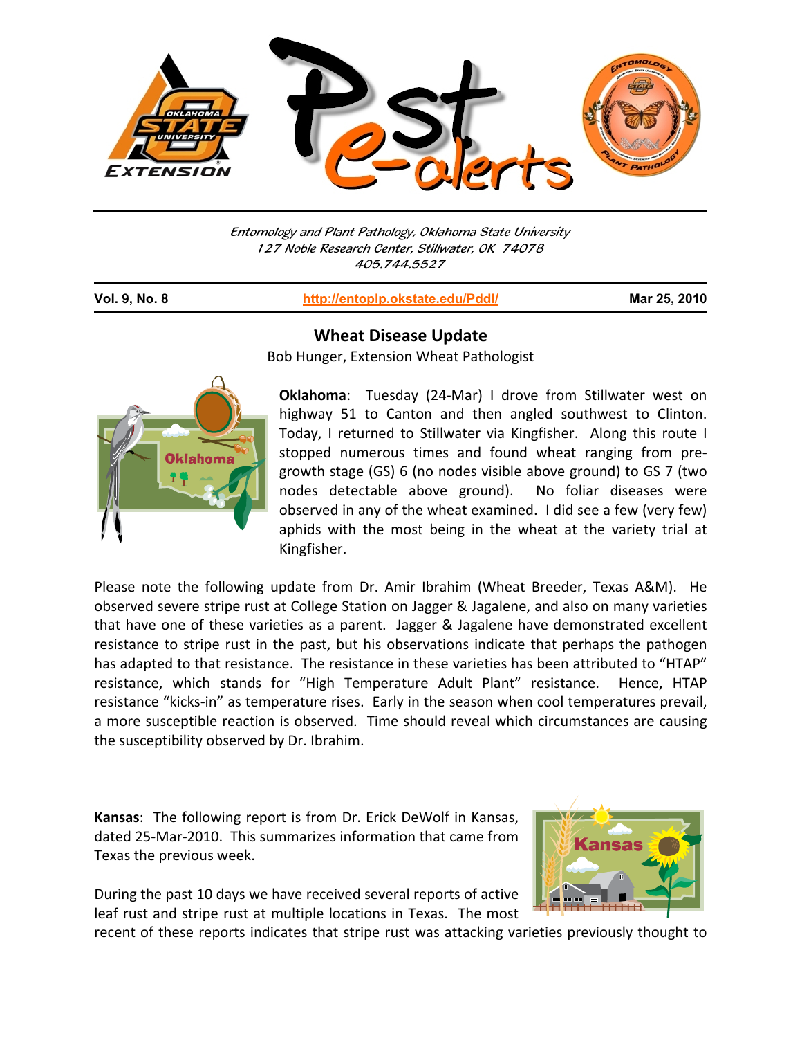

Entomology and Plant Pathology, Oklahoma State University 127 Noble Research Center, Stillwater, OK 74078 405.744.5527

**Vol. 9, No. 8 http://entoplp.okstate.edu/Pddl/ Mar 25, 2010**



j

## **Wheat Disease Update**

Bob Hunger, Extension Wheat Pathologist

**Oklahoma**: Tuesday (24‐Mar) I drove from Stillwater west on highway 51 to Canton and then angled southwest to Clinton. Today, I returned to Stillwater via Kingfisher. Along this route I stopped numerous times and found wheat ranging from pre‐ growth stage (GS) 6 (no nodes visible above ground) to GS 7 (two nodes detectable above ground). No foliar diseases were observed in any of the wheat examined. I did see a few (very few) aphids with the most being in the wheat at the variety trial at Kingfisher.

Please note the following update from Dr. Amir Ibrahim (Wheat Breeder, Texas A&M). He observed severe stripe rust at College Station on Jagger & Jagalene, and also on many varieties that have one of these varieties as a parent. Jagger & Jagalene have demonstrated excellent resistance to stripe rust in the past, but his observations indicate that perhaps the pathogen has adapted to that resistance. The resistance in these varieties has been attributed to "HTAP" resistance, which stands for "High Temperature Adult Plant" resistance. Hence, HTAP resistance "kicks‐in" as temperature rises. Early in the season when cool temperatures prevail, a more susceptible reaction is observed. Time should reveal which circumstances are causing the susceptibility observed by Dr. Ibrahim.

**Kansas**: The following report is from Dr. Erick DeWolf in Kansas, dated 25‐Mar‐2010. This summarizes information that came from Texas the previous week.

During the past 10 days we have received several reports of active leaf rust and stripe rust at multiple locations in Texas. The most



recent of these reports indicates that stripe rust was attacking varieties previously thought to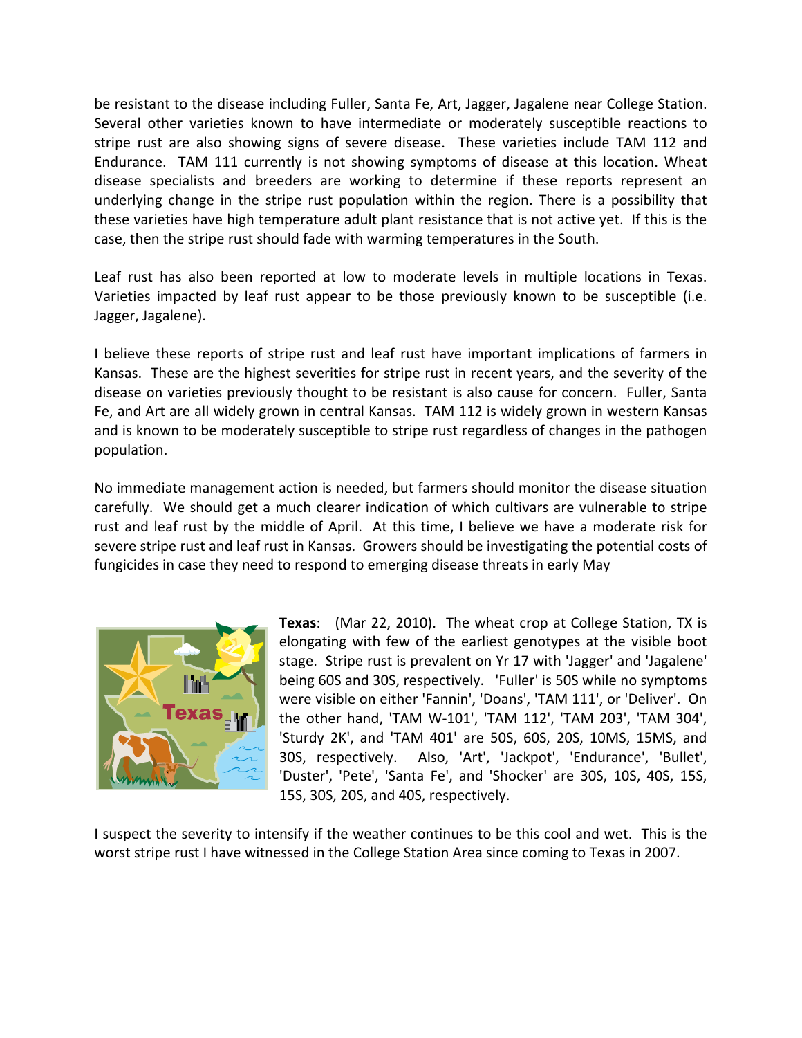be resistant to the disease including Fuller, Santa Fe, Art, Jagger, Jagalene near College Station. Several other varieties known to have intermediate or moderately susceptible reactions to stripe rust are also showing signs of severe disease. These varieties include TAM 112 and Endurance. TAM 111 currently is not showing symptoms of disease at this location. Wheat disease specialists and breeders are working to determine if these reports represent an underlying change in the stripe rust population within the region. There is a possibility that these varieties have high temperature adult plant resistance that is not active yet. If this is the case, then the stripe rust should fade with warming temperatures in the South.

Leaf rust has also been reported at low to moderate levels in multiple locations in Texas. Varieties impacted by leaf rust appear to be those previously known to be susceptible (i.e. Jagger, Jagalene).

I believe these reports of stripe rust and leaf rust have important implications of farmers in Kansas. These are the highest severities for stripe rust in recent years, and the severity of the disease on varieties previously thought to be resistant is also cause for concern. Fuller, Santa Fe, and Art are all widely grown in central Kansas. TAM 112 is widely grown in western Kansas and is known to be moderately susceptible to stripe rust regardless of changes in the pathogen population.

No immediate management action is needed, but farmers should monitor the disease situation carefully. We should get a much clearer indication of which cultivars are vulnerable to stripe rust and leaf rust by the middle of April. At this time, I believe we have a moderate risk for severe stripe rust and leaf rust in Kansas. Growers should be investigating the potential costs of fungicides in case they need to respond to emerging disease threats in early May



**Texas**: (Mar 22, 2010). The wheat crop at College Station, TX is elongating with few of the earliest genotypes at the visible boot stage. Stripe rust is prevalent on Yr 17 with 'Jagger' and 'Jagalene' being 60S and 30S, respectively. 'Fuller' is 50S while no symptoms were visible on either 'Fannin', 'Doans', 'TAM 111', or 'Deliver'. On the other hand, 'TAM W‐101', 'TAM 112', 'TAM 203', 'TAM 304', 'Sturdy 2K', and 'TAM 401' are 50S, 60S, 20S, 10MS, 15MS, and 30S, respectively. Also, 'Art', 'Jackpot', 'Endurance', 'Bullet', 'Duster', 'Pete', 'Santa Fe', and 'Shocker' are 30S, 10S, 40S, 15S, 15S, 30S, 20S, and 40S, respectively.

I suspect the severity to intensify if the weather continues to be this cool and wet. This is the worst stripe rust I have witnessed in the College Station Area since coming to Texas in 2007.